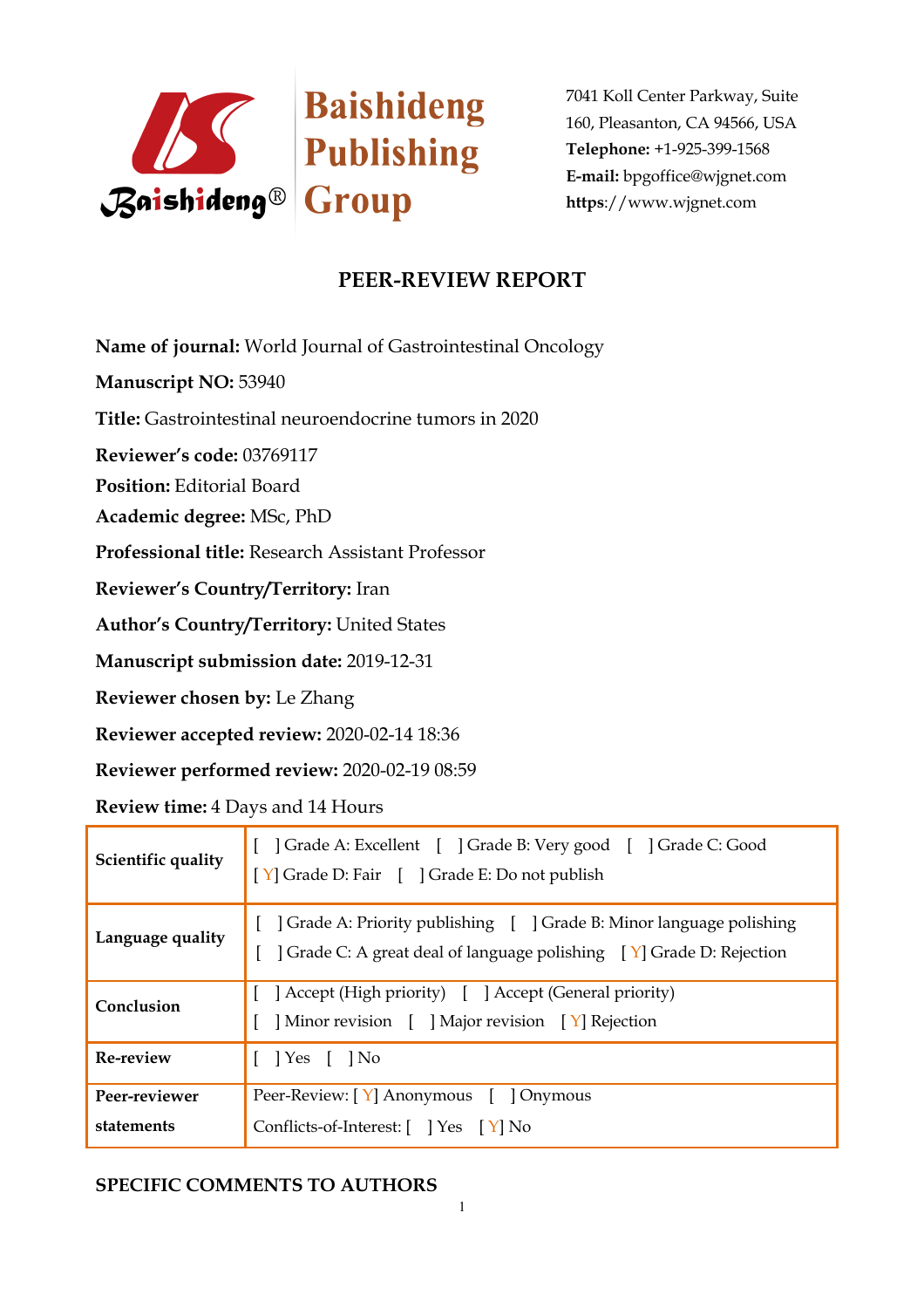

# **PEER-REVIEW REPORT**

**Name of journal:** World Journal of Gastrointestinal Oncology

**Manuscript NO:** 53940

**Title:** Gastrointestinal neuroendocrine tumors in 2020

**Reviewer's code:** 03769117

**Position:** Editorial Board

**Academic degree:** MSc, PhD

**Professional title:** Research Assistant Professor

**Reviewer's Country/Territory:** Iran

**Author's Country/Territory:** United States

**Manuscript submission date:** 2019-12-31

**Reviewer chosen by:** Le Zhang

**Reviewer accepted review:** 2020-02-14 18:36

**Reviewer performed review:** 2020-02-19 08:59

**Review time:** 4 Days and 14 Hours

| Scientific quality          | [ ] Grade A: Excellent [ ] Grade B: Very good [ ] Grade C: Good<br>[Y] Grade D: Fair [ ] Grade E: Do not publish                           |
|-----------------------------|--------------------------------------------------------------------------------------------------------------------------------------------|
| Language quality            | Grade A: Priority publishing [ ] Grade B: Minor language polishing<br>] Grade C: A great deal of language polishing [Y] Grade D: Rejection |
| Conclusion                  | Accept (High priority) [ ] Accept (General priority)<br>Minor revision [ ] Major revision [ Y] Rejection                                   |
| Re-review                   | $\lceil \cdot \rceil$ Yes $\lceil \cdot \rceil$ No                                                                                         |
| Peer-reviewer<br>statements | Peer-Review: [Y] Anonymous [ ] Onymous<br>Conflicts-of-Interest: $[$ $]$ Yes $[$ Y $]$ No                                                  |

## **SPECIFIC COMMENTS TO AUTHORS**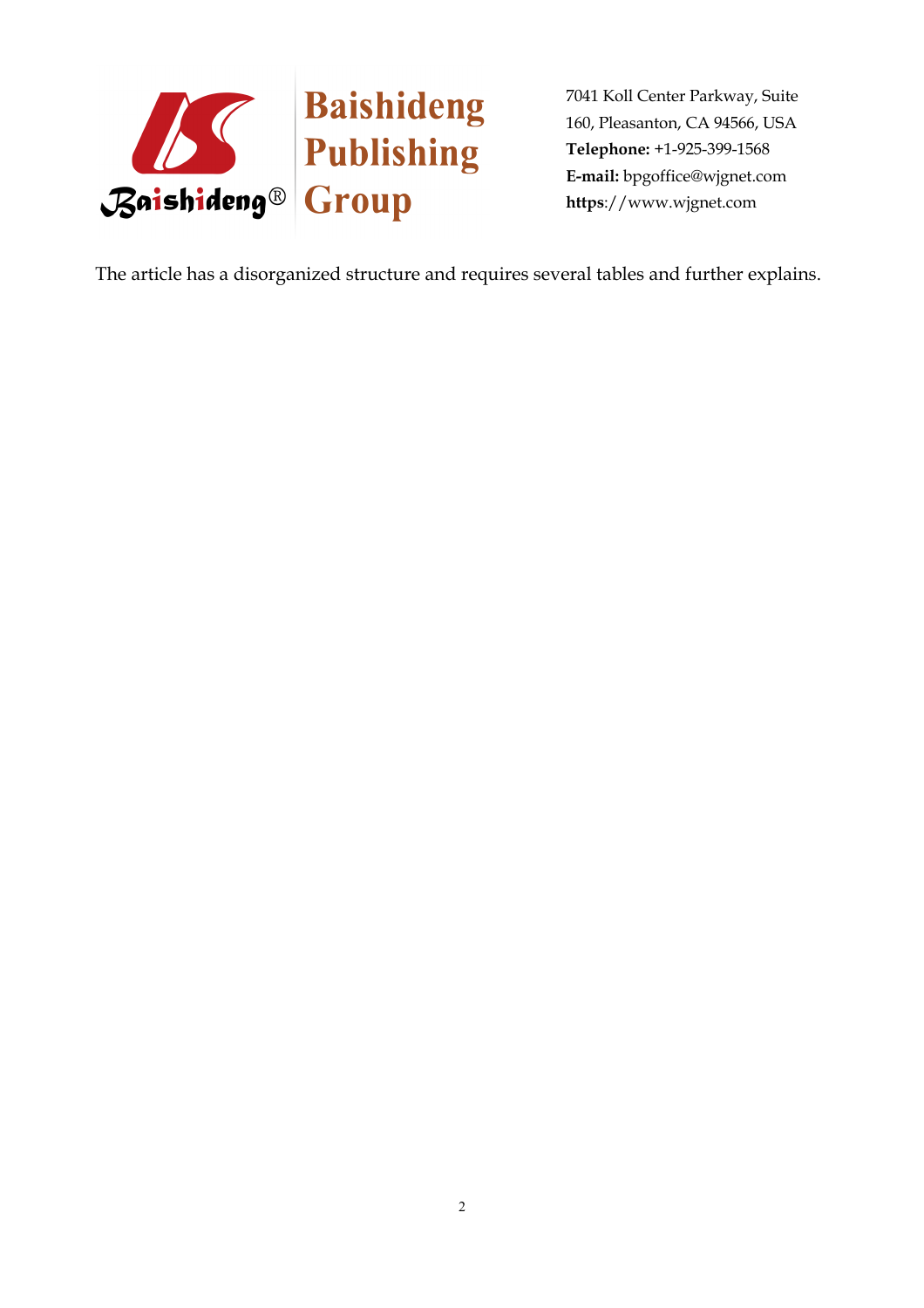

The article has a disorganized structure and requires several tables and further explains.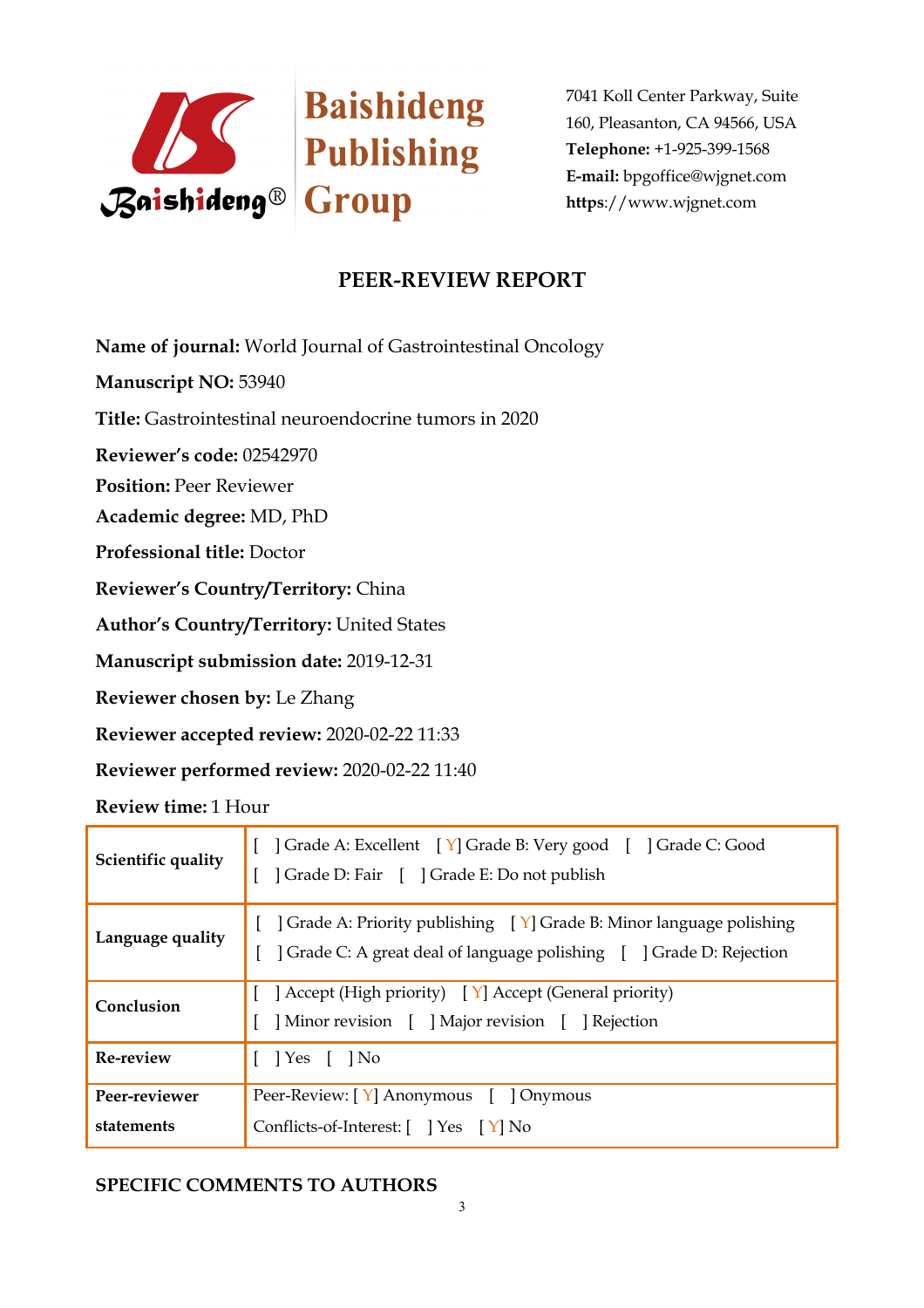

# **PEER-REVIEW REPORT**

**Name of journal:** World Journal of Gastrointestinal Oncology

**Manuscript NO:** 53940

**Title:** Gastrointestinal neuroendocrine tumors in 2020

**Reviewer's code:** 02542970

**Position:** Peer Reviewer

**Academic degree:** MD, PhD

**Professional title:** Doctor

**Reviewer's Country/Territory:** China

**Author's Country/Territory:** United States

**Manuscript submission date:** 2019-12-31

**Reviewer chosen by:** Le Zhang

**Reviewer accepted review:** 2020-02-22 11:33

**Reviewer performed review:** 2020-02-22 11:40

**Review time:** 1 Hour

| Scientific quality          | [ ] Grade A: Excellent [ Y] Grade B: Very good [ ] Grade C: Good<br>] Grade D: Fair [ ] Grade E: Do not publish                                              |
|-----------------------------|--------------------------------------------------------------------------------------------------------------------------------------------------------------|
| Language quality            | $\vert$ Grade A: Priority publishing $\vert Y \vert$ Grade B: Minor language polishing<br>Crade C: A great deal of language polishing [ ] Grade D: Rejection |
| Conclusion                  | [ ] Accept (High priority) $[Y]$ Accept (General priority)<br>  Minor revision     Major revision     Rejection                                              |
| <b>Re-review</b>            | $\lceil$   Yes $\lceil$   No                                                                                                                                 |
| Peer-reviewer<br>statements | Peer-Review: [Y] Anonymous [ ] Onymous<br>Conflicts-of-Interest: $[$ $]$ Yes $[$ Y $]$ No                                                                    |

## **SPECIFIC COMMENTS TO AUTHORS**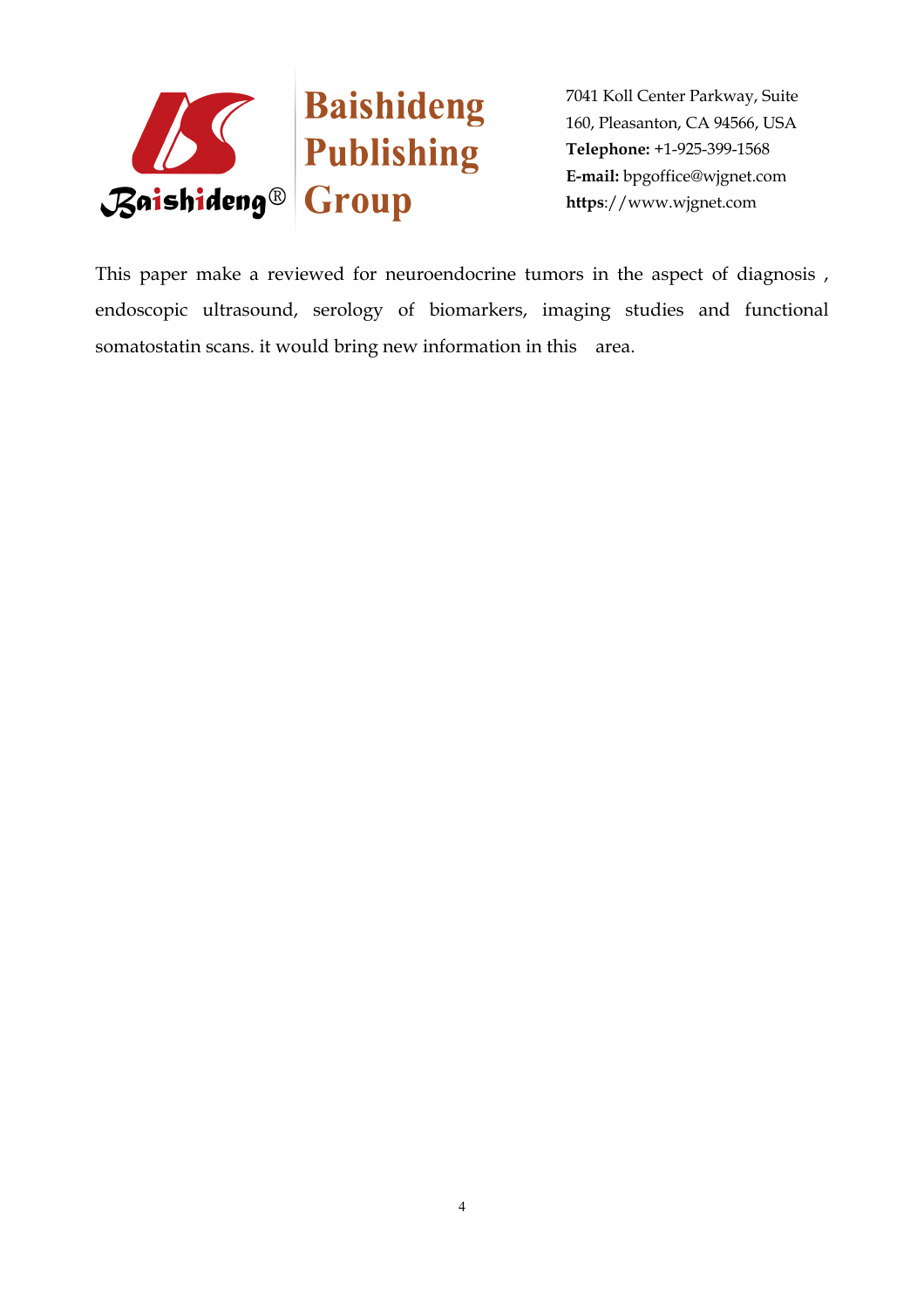

This paper make a reviewed for neuroendocrine tumors in the aspect of diagnosis , endoscopic ultrasound, serology of biomarkers, imaging studies and functional somatostatin scans. it would bring new information in this area.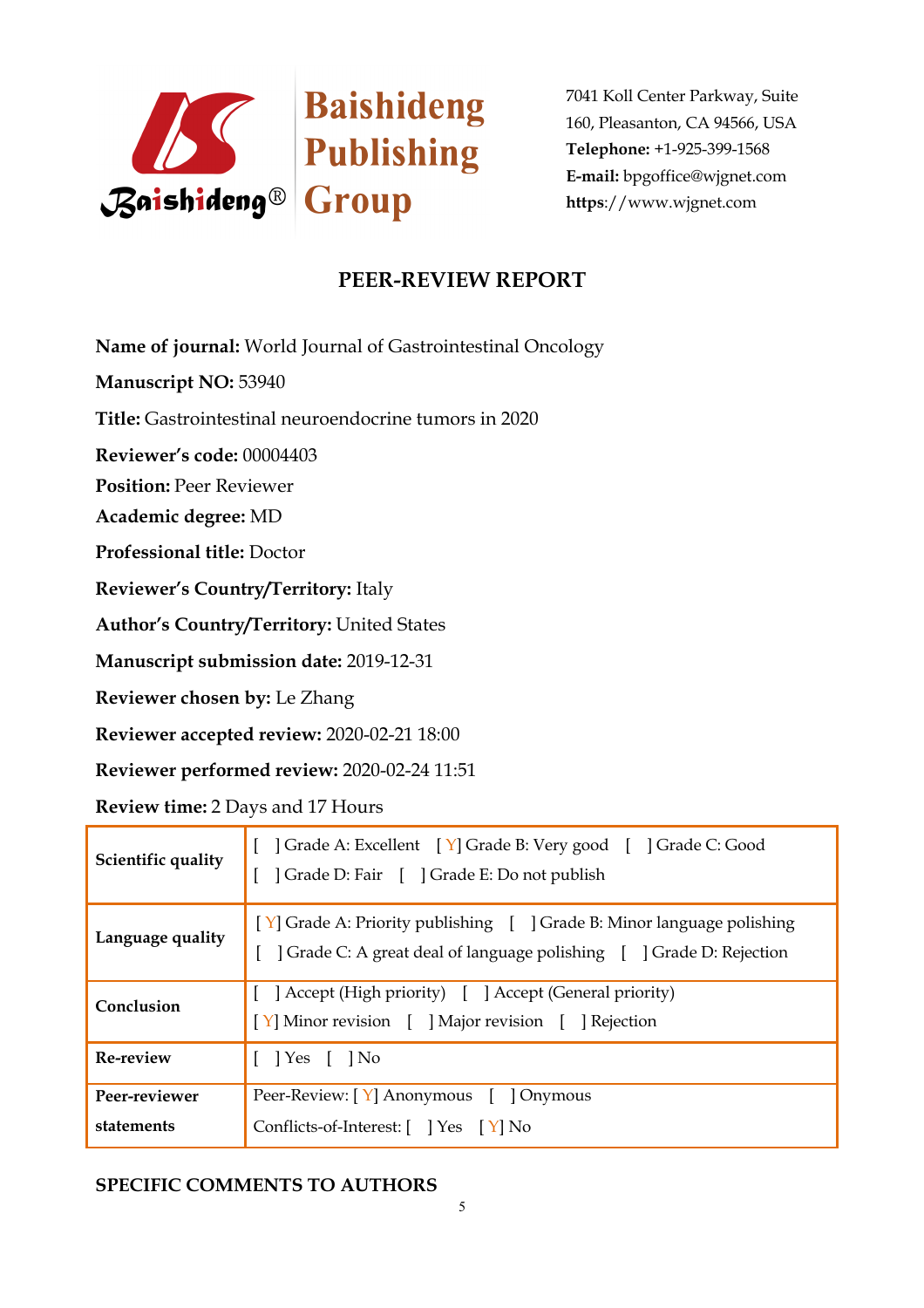

# **PEER-REVIEW REPORT**

**Name of journal:** World Journal of Gastrointestinal Oncology

**Manuscript NO:** 53940

**Title:** Gastrointestinal neuroendocrine tumors in 2020

**Reviewer's code:** 00004403

**Position:** Peer Reviewer

**Academic degree:** MD

**Professional title:** Doctor

**Reviewer's Country/Territory:** Italy

**Author's Country/Territory:** United States

**Manuscript submission date:** 2019-12-31

**Reviewer chosen by:** Le Zhang

**Reviewer accepted review:** 2020-02-21 18:00

**Reviewer performed review:** 2020-02-24 11:51

**Review time:** 2 Days and 17 Hours

| Scientific quality          | Grade A: Excellent [Y] Grade B: Very good [ ] Grade C: Good<br>  Grade D: Fair   Grade E: Do not publish                                                                                              |
|-----------------------------|-------------------------------------------------------------------------------------------------------------------------------------------------------------------------------------------------------|
| Language quality            | [Y] Grade A: Priority publishing [ ] Grade B: Minor language polishing<br>Crade C: A great deal of language polishing [ ] Grade D: Rejection                                                          |
| Conclusion                  | [ ] Accept (High priority) [ ] Accept (General priority)<br>$\begin{bmatrix} Y \end{bmatrix}$ Minor revision $\begin{bmatrix} \end{bmatrix}$ Major revision $\begin{bmatrix} \end{bmatrix}$ Rejection |
| <b>Re-review</b>            | $\lceil$   Yes $\lceil$   No                                                                                                                                                                          |
| Peer-reviewer<br>statements | Peer-Review: [Y] Anonymous [ ] Onymous<br>Conflicts-of-Interest: [ ] Yes [Y] No                                                                                                                       |

### **SPECIFIC COMMENTS TO AUTHORS**